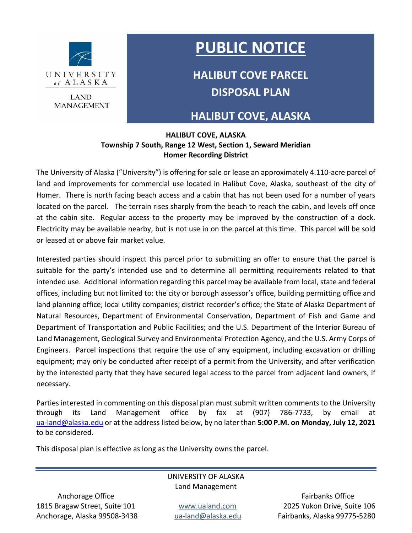

**LAND MANAGEMENT** 

# **PUBLIC NOTICE**

**HALIBUT COVE PARCEL DISPOSAL PLAN**

### **HALIBUT COVE, ALASKA**

#### **HALIBUT COVE, ALASKA Township 7 South, Range 12 West, Section 1, Seward Meridian Homer Recording District**

The University of Alaska ("University") is offering for sale or lease an approximately 4.110-acre parcel of land and improvements for commercial use located in Halibut Cove, Alaska, southeast of the city of Homer. There is north facing beach access and a cabin that has not been used for a number of years located on the parcel. The terrain rises sharply from the beach to reach the cabin, and levels off once at the cabin site. Regular access to the property may be improved by the construction of a dock. Electricity may be available nearby, but is not use in on the parcel at this time. This parcel will be sold or leased at or above fair market value.

Interested parties should inspect this parcel prior to submitting an offer to ensure that the parcel is suitable for the party's intended use and to determine all permitting requirements related to that intended use. Additional information regarding this parcel may be available from local, state and federal offices, including but not limited to: the city or borough assessor's office, building permitting office and land planning office; local utility companies; district recorder's office; the State of Alaska Department of Natural Resources, Department of Environmental Conservation, Department of Fish and Game and Department of Transportation and Public Facilities; and the U.S. Department of the Interior Bureau of Land Management, Geological Survey and Environmental Protection Agency, and the U.S. Army Corps of Engineers. Parcel inspections that require the use of any equipment, including excavation or drilling equipment; may only be conducted after receipt of a permit from the University, and after verification by the interested party that they have secured legal access to the parcel from adjacent land owners, if necessary.

Parties interested in commenting on this disposal plan must submit written comments to the University through its Land Management office by fax at (907) 786-7733, by email at [ua-land@alaska.edu](mailto:ua-land@alaska.edu) or at the address listed below, by no later than **5:00 P.M. on Monday, July 12, 2021** to be considered.

This disposal plan is effective as long as the University owns the parcel.

#### UNIVERSITY OF ALASKA Land Management

1815 Bragaw Street, Suite 101 www.ualand.com 2025 Yukon Drive, Suite 106 Anchorage, Alaska 99508-3438 [ua-land@alaska.edu](mailto:ua-land@alaska.edu) Fairbanks, Alaska 99775-5280

Anchorage Office **Fairbanks** Office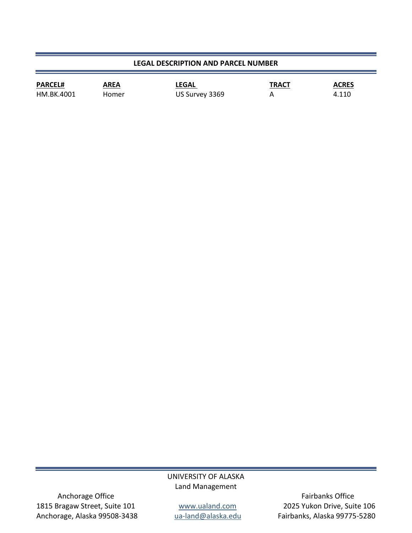#### **LEGAL DESCRIPTION AND PARCEL NUMBER**

| <b>PARCEL#</b> | AREA  | <b>LEGAL</b>   | <b>TRACT</b> | <b>ACRES</b> |
|----------------|-------|----------------|--------------|--------------|
| HM.BK.4001     | Homer | US Survey 3369 |              | 4.110        |

#### UNIVERSITY OF ALASKA Land Management

Anchorage Office **Fairbanks** Office 1815 Bragaw Street, Suite 101 *www.ualand.com* 2025 Yukon Drive, Suite 106<br>Anchorage, Alaska 99508-3438 ana-land@alaska.edu Fairbanks, Alaska 99775-5280 Anchorage, Alaska 99508-3438 [ua-land@alaska.edu](mailto:ua-land@alaska.edu) Fairbanks, Alaska 99775-5280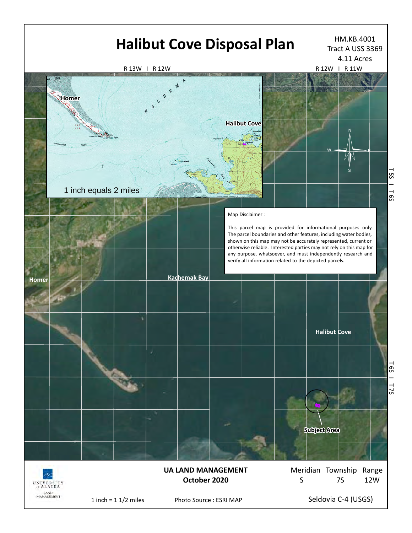